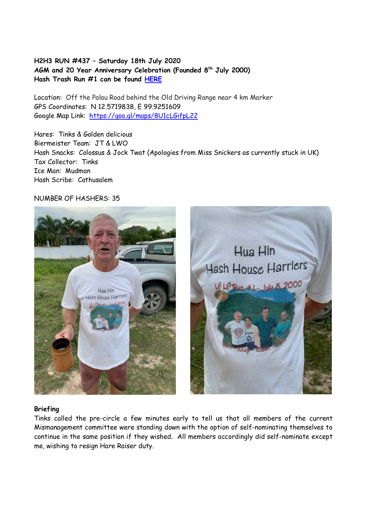# **H2H3 RUN #437 – Saturday 18th July 2020 AGM and 20 Year Anniversary Celebration (Founded 8th July 2000) Hash Trash Run #1 can be found HERE**

Location: Off the Palau Road behind the Old Driving Range near 4 km Marker GPS Coordinates: N 12.5719838, E 99.9251609 Google Map Link: https://goo.gl/maps/8U1cLGifpL22

Hares: Tinks & Golden delicious Biermeister Team: JT & LWO Hash Snacks: Colossus & Jock Twat (Apologies from Miss Snickers as currently stuck in UK) Tax Collector: Tinks Ice Man: Mudman Hash Scribe: Cathusalem

## NUMBER OF HASHERS: 35



#### **Briefing**

Tinks called the pre-circle a few minutes early to tell us that all members of the current Mismanagement committee were standing down with the option of self-nominating themselves to continue in the same position if they wished. All members accordingly did self-nominate except me, wishing to resign Hare Raiser duty.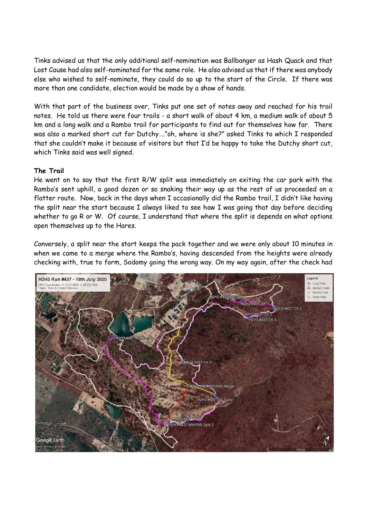Tinks advised us that the only additional self-nomination was Ballbanger as Hash Quack and that Lost Cause had also self-nominated for the same role. He also advised us that if there was anybody else who wished to self-nominate, they could do so up to the start of the Circle. If there was more than one candidate, election would be made by a show of hands.

With that part of the business over, Tinks put one set of notes away and reached for his trail notes. He told us there were four trails - a short walk of about 4 km, a medium walk of about 5 km and a long walk and a Rambo trail for participants to find out for themselves how far. There was also a marked short cut for Dutchy…."oh, where is she?" asked Tinks to which I responded that she couldn't make it because of visitors but that I'd be happy to take the Dutchy short cut, which Tinks said was well signed.

## **The Trail**

He went on to say that the first R/W split was immediately on exiting the car park with the Rambo's sent uphill, a good dozen or so snaking their way up as the rest of us proceeded on a flatter route. Now, back in the days when I occasionally did the Rambo trail, I didn't like having the split near the start because I always liked to see how I was going that day before deciding whether to go R or W. Of course, I understand that where the split is depends on what options open themselves up to the Hares.

Conversely, a split near the start keeps the pack together and we were only about 10 minutes in when we came to a merge where the Rambo's, having descended from the heights were already checking with, true to form, Sodomy going the wrong way. On my way again, after the check had

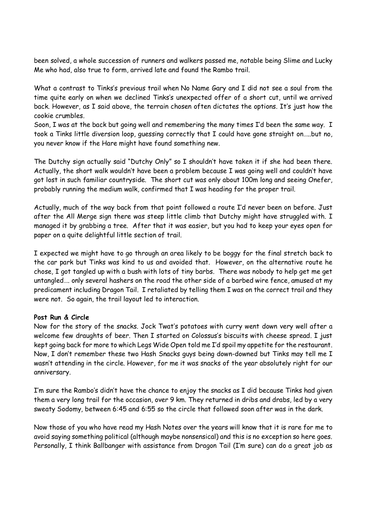been solved, a whole succession of runners and walkers passed me, notable being Slime and Lucky Me who had, also true to form, arrived late and found the Rambo trail.

What a contrast to Tinks's previous trail when No Name Gary and I did not see a soul from the time quite early on when we declined Tinks's unexpected offer of a short cut, until we arrived back. However, as I said above, the terrain chosen often dictates the options. It's just how the cookie crumbles.

Soon, I was at the back but going well and remembering the many times I'd been the same way. I took a Tinks little diversion loop, guessing correctly that I could have gone straight on…..but no, you never know if the Hare might have found something new.

The Dutchy sign actually said "Dutchy Only" so I shouldn't have taken it if she had been there. Actually, the short walk wouldn't have been a problem because I was going well and couldn't have got lost in such familiar countryside. The short cut was only about 100m long and seeing Onefer, probably running the medium walk, confirmed that I was heading for the proper trail.

Actually, much of the way back from that point followed a route I'd never been on before. Just after the All Merge sign there was steep little climb that Dutchy might have struggled with. I managed it by grabbing a tree. After that it was easier, but you had to keep your eyes open for paper on a quite delightful little section of trail.

I expected we might have to go through an area likely to be boggy for the final stretch back to the car park but Tinks was kind to us and avoided that. However, on the alternative route he chose, I got tangled up with a bush with lots of tiny barbs. There was nobody to help get me get untangled…. only several hashers on the road the other side of a barbed wire fence, amused at my predicament including Dragon Tail. I retaliated by telling them I was on the correct trail and they were not. So again, the trail layout led to interaction.

#### **Post Run & Circle**

Now for the story of the snacks. Jock Twat's potatoes with curry went down very well after a welcome few draughts of beer. Then I started on Colossus's biscuits with cheese spread. I just kept going back for more to which Legs Wide Open told me I'd spoil my appetite for the restaurant. Now, I don't remember these two Hash Snacks guys being down-downed but Tinks may tell me I wasn't attending in the circle. However, for me it was snacks of the year absolutely right for our anniversary.

I'm sure the Rambo's didn't have the chance to enjoy the snacks as I did because Tinks had given them a very long trail for the occasion, over 9 km. They returned in dribs and drabs, led by a very sweaty Sodomy, between 6:45 and 6:55 so the circle that followed soon after was in the dark.

Now those of you who have read my Hash Notes over the years will know that it is rare for me to avoid saying something political (although maybe nonsensical) and this is no exception so here goes. Personally, I think Ballbanger with assistance from Dragon Tail (I'm sure) can do a great job as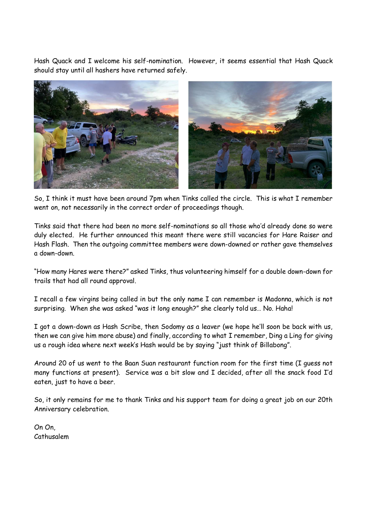Hash Quack and I welcome his self-nomination. However, it seems essential that Hash Quack should stay until all hashers have returned safely.



So, I think it must have been around 7pm when Tinks called the circle. This is what I remember went on, not necessarily in the correct order of proceedings though.

Tinks said that there had been no more self-nominations so all those who'd already done so were duly elected. He further announced this meant there were still vacancies for Hare Raiser and Hash Flash. Then the outgoing committee members were down-downed or rather gave themselves a down-down.

"How many Hares were there?" asked Tinks, thus volunteering himself for a double down-down for trails that had all round approval.

I recall a few virgins being called in but the only name I can remember is Madonna, which is not surprising. When she was asked "was it long enough?" she clearly told us… No. Haha!

I got a down-down as Hash Scribe, then Sodomy as a leaver (we hope he'll soon be back with us, then we can give him more abuse) and finally, according to what I remember, Ding a Ling for giving us a rough idea where next week's Hash would be by saying "just think of Billabong".

Around 20 of us went to the Baan Suan restaurant function room for the first time (I guess not many functions at present). Service was a bit slow and I decided, after all the snack food I'd eaten, just to have a beer.

So, it only remains for me to thank Tinks and his support team for doing a great job on our 20th Anniversary celebration.

On On, Cathusalem